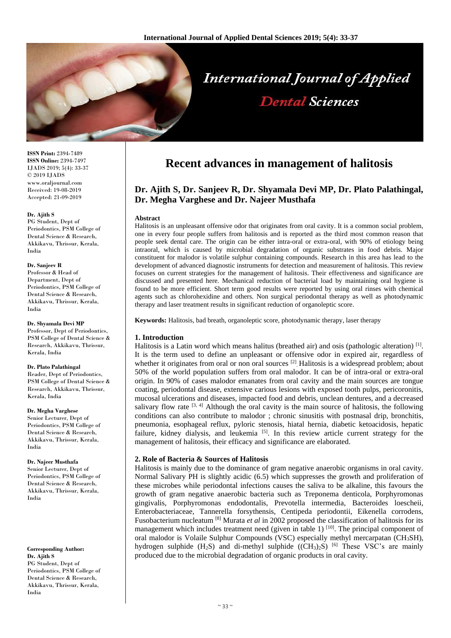

**ISSN Print:** 2394-7489 **ISSN Online:** 2394-7497 IJADS 2019; 5(4): 33-37 © 2019 IJADS www.oraljournal.com Received: 19-08-2019 Accepted: 21-09-2019

#### **Dr. Ajith S**

PG Student, Dept of Periodontics, PSM College of Dental Science & Research, Akkikavu, Thrissur, Kerala, India

#### **Dr. Sanjeev R**

Professor & Head of Department, Dept of Periodontics, PSM College of Dental Science & Research, Akkikavu, Thrissur, Kerala, India

#### **Dr. Shyamala Devi MP**

Professor, Dept of Periodontics, PSM College of Dental Science & Research, Akkikavu, Thrissur, Kerala, India

#### **Dr. Plato Palathingal**

Reader, Dept of Periodontics, PSM College of Dental Science & Research, Akkikavu, Thrissur, Kerala, India

#### **Dr. Megha Varghese**

Senior Lecturer, Dept of Periodontics, PSM College of Dental Science & Research, Akkikavu, Thrissur, Kerala, India

#### **Dr. Najeer Musthafa**

Senior Lecturer, Dept of Periodontics, PSM College of Dental Science & Research. Akkikavu, Thrissur, Kerala, India

**Corresponding Author: Dr. Ajith S** PG Student, Dept of Periodontics, PSM College of Dental Science & Research, Akkikavu, Thrissur, Kerala, India

# **Recent advances in management of halitosis**

## **Dr. Ajith S, Dr. Sanjeev R, Dr. Shyamala Devi MP, Dr. Plato Palathingal, Dr. Megha Varghese and Dr. Najeer Musthafa**

#### **Abstract**

Halitosis is an unpleasant offensive odor that originates from oral cavity. It is a common social problem, one in every four people suffers from halitosis and is reported as the third most common reason that people seek dental care. The origin can be either intra-oral or extra-oral, with 90% of etiology being intraoral, which is caused by microbial degradation of organic substrates in food debris. Major constituent for malodor is volatile sulphur containing compounds. Research in this area has lead to the development of advanced diagnostic instruments for detection and measurement of halitosis. This review focuses on current strategies for the management of halitosis. Their effectiveness and significance are discussed and presented here. Mechanical reduction of bacterial load by maintaining oral hygiene is found to be more efficient. Short term good results were reported by using oral rinses with chemical agents such as chlorohexidine and others. Non surgical periodontal therapy as well as photodynamic therapy and laser treatment results in significant reduction of organoleptic score.

**Keywords:** Halitosis, bad breath, organoleptic score, photodynamic therapy, laser therapy

#### **1. Introduction**

Halitosis is a Latin word which means halitus (breathed air) and osis (pathologic alteration)<sup>[1]</sup>. It is the term used to define an unpleasant or offensive odor in expired air, regardless of whether it originates from oral or non oral sources<sup>[2]</sup> Halitosis is a widespread problem; about 50% of the world population suffers from oral malodor. It can be of intra-oral or extra-oral origin. In 90% of cases malodor emanates from oral cavity and the main sources are tongue coating, periodontal disease, extensive carious lesions with exposed tooth pulps, pericoronitis, mucosal ulcerations and diseases, impacted food and debris, unclean dentures, and a decreased salivary flow rate  $[3, 4]$  Although the oral cavity is the main source of halitosis, the following conditions can also contribute to malodor ; chronic sinusitis with postnasal drip, bronchitis, pneumonia, esophageal reflux, pyloric stenosis, hiatal hernia, diabetic ketoacidosis, hepatic failure, kidney dialysis, and leukemia [5]. In this review article current strategy for the management of halitosis, their efficacy and significance are elaborated.

## **2. Role of Bacteria & Sources of Halitosis**

Halitosis is mainly due to the dominance of gram negative anaerobic organisms in oral cavity. Normal Salivary PH is slightly acidic (6.5) which suppresses the growth and proliferation of these microbes while periodontal infections causes the saliva to be alkaline, this favours the growth of gram negative anaerobic bacteria such as Treponema denticola, Porphyromonas gingivalis, Porphyromonas endodontalis, Prevotella intermedia, Bacteroides loescheii, Enterobacteriaceae, Tannerella forsythensis, Centipeda periodontii, Eikenella corrodens, Fusobacterium nucleatum [8] Murata *et al* in 2002 proposed the classification of halitosis for its management which includes treatment need (given in table 1)  $[10]$ . The principal component of oral malodor is Volaile Sulphur Compounds (VSC) especially methyl mercarpatan (CH3SH), hydrogen sulphide (H<sub>2</sub>S) and di-methyl sulphide ((CH<sub>3</sub>)<sub>2</sub>S) <sup>[6]</sup> These VSC's are mainly produced due to the microbial degradation of organic products in oral cavity.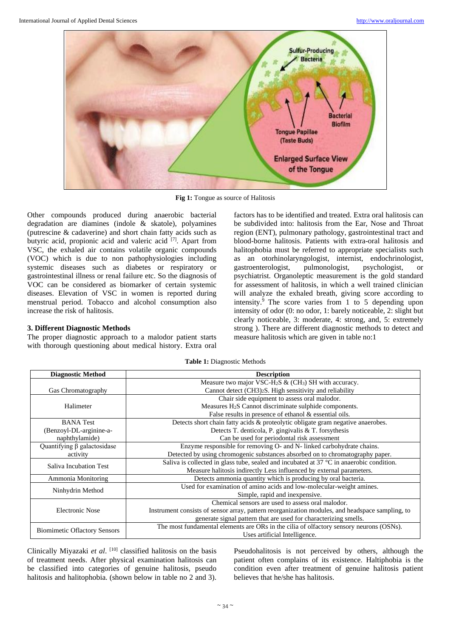

**Fig 1:** Tongue as source of Halitosis

Other compounds produced during anaerobic bacterial degradation are diamines (indole & skatole), polyamines (putrescine & cadaverine) and short chain fatty acids such as butyric acid, propionic acid and valeric acid <sup>[7]</sup>. Apart from VSC, the exhaled air contains volatile organic compounds (VOC) which is due to non pathophysiologies including systemic diseases such as diabetes or respiratory or gastrointestinal illness or renal failure etc. So the diagnosis of VOC can be considered as biomarker of certain systemic diseases. Elevation of VSC in women is reported during menstrual period. Tobacco and alcohol consumption also increase the risk of halitosis.

## **3. Different Diagnostic Methods**

The proper diagnostic approach to a malodor patient starts with thorough questioning about medical history. Extra oral

factors has to be identified and treated. Extra oral halitosis can be subdivided into: halitosis from the Ear, Nose and Throat region (ENT), pulmonary pathology, gastrointestinal tract and blood-borne halitosis. Patients with extra-oral halitosis and halitophobia must be referred to appropriate specialists such as an otorhinolaryngologist, internist, endochrinologist, gastroenterologist, pulmonologist, psychologist, or psychiatrist. Organoleptic measurement is the gold standard for assessment of halitosis, in which a well trained clinician will analyze the exhaled breath, giving score according to intensity. $9$  The score varies from 1 to 5 depending upon intensity of odor (0: no odor, 1: barely noticeable, 2: slight but clearly noticeable, 3: moderate, 4: strong, and, 5: extremely strong ). There are different diagnostic methods to detect and measure halitosis which are given in table no:1

| <b>Diagnostic Method</b>                                                        | <b>Description</b>                                                                              |  |  |
|---------------------------------------------------------------------------------|-------------------------------------------------------------------------------------------------|--|--|
|                                                                                 | Measure two major VSC-H <sub>2</sub> S $\&$ (CH <sub>3</sub> ) SH with accuracy.                |  |  |
| Gas Chromatography                                                              | Cannot detect (CH3) <sub>2</sub> S. High sensitivity and reliability                            |  |  |
|                                                                                 | Chair side equipment to assess oral malodor.                                                    |  |  |
| Halimeter                                                                       | Measures H <sub>2</sub> S Cannot discriminate sulphide components.                              |  |  |
|                                                                                 | False results in presence of ethanol $&$ essential oils.                                        |  |  |
| <b>BANA</b> Test                                                                | Detects short chain fatty acids & proteolytic obligate gram negative anaerobes.                 |  |  |
| Detects T. denticola, P. gingivalis & T. forsythesis<br>(Benzoyl-DL-arginine-a- |                                                                                                 |  |  |
| Can be used for periodontal risk assessment<br>naphthylamide)                   |                                                                                                 |  |  |
| $\overline{Quantifying}$ $\beta$ galactosidase                                  | Enzyme responsible for removing O- and N- linked carbohydrate chains.                           |  |  |
| activity                                                                        | Detected by using chromogenic substances absorbed on to chromatography paper.                   |  |  |
| Saliva Incubation Test                                                          | Saliva is collected in glass tube, sealed and incubated at 37 °C in anaerobic condition.        |  |  |
|                                                                                 | Measure halitosis indirectly Less influenced by external parameters.                            |  |  |
| Ammonia Monitoring                                                              | Detects ammonia quantity which is producing by oral bacteria.                                   |  |  |
| Ninhydrin Method                                                                | Used for examination of amino acids and low-molecular-weight amines.                            |  |  |
|                                                                                 | Simple, rapid and inexpensive.                                                                  |  |  |
|                                                                                 | Chemical sensors are used to assess oral malodor.                                               |  |  |
| Electronic Nose                                                                 | Instrument consists of sensor array, pattern reorganization modules, and headspace sampling, to |  |  |
|                                                                                 | generate signal pattern that are used for characterizing smells.                                |  |  |
| <b>Biomimetic Oflactory Sensors</b>                                             | The most fundamental elements are ORs in the cilia of olfactory sensory neurons (OSNs).         |  |  |
|                                                                                 | Uses artificial Intelligence.                                                                   |  |  |

**Table 1:** Diagnostic Methods

Clinically Miyazaki *et al*. [10] classified halitosis on the basis of treatment needs. After physical examination halitosis can be classified into categories of genuine halitosis, pseudo halitosis and halitophobia. (shown below in table no 2 and 3).

Pseudohalitosis is not perceived by others, although the patient often complains of its existence. Haltiphobia is the condition even after treatment of genuine halitosis patient believes that he/she has halitosis.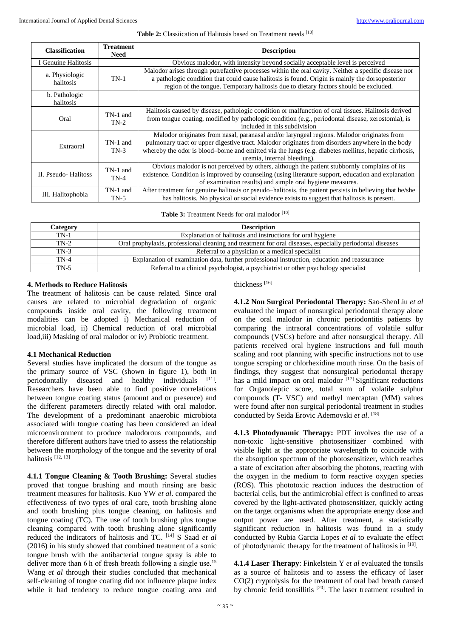#### Table 2: Classiication of Halitosis based on Treatment needs [10]

| <b>Classification</b>       | <b>Treatment</b><br><b>Need</b> | <b>Description</b>                                                                                                                                                                                                                                                                                                                     |  |  |
|-----------------------------|---------------------------------|----------------------------------------------------------------------------------------------------------------------------------------------------------------------------------------------------------------------------------------------------------------------------------------------------------------------------------------|--|--|
| I Genuine Halitosis         |                                 | Obvious malodor, with intensity beyond socially acceptable level is perceived                                                                                                                                                                                                                                                          |  |  |
| a. Physiologic<br>halitosis | $TN-1$                          | Malodor arises through putrefactive processes within the oral cavity. Neither a specific disease nor<br>a pathologic condition that could cause halitosis is found. Origin is mainly the dorsoposterior<br>region of the tongue. Temporary halitosis due to dietary factors should be excluded.                                        |  |  |
| b. Pathologic<br>halitosis  |                                 |                                                                                                                                                                                                                                                                                                                                        |  |  |
| Oral                        | TN-1 and<br>$TN-2$              | Halitosis caused by disease, pathologic condition or malfunction of oral tissues. Halitosis derived<br>from tongue coating, modified by pathologic condition (e.g., periodontal disease, xerostomia), is<br>included in this subdivision                                                                                               |  |  |
| Extraoral                   | TN-1 and<br>$TN-3$              | Malodor originates from nasal, paranasal and/or laryngeal regions. Malodor originates from<br>pulmonary tract or upper digestive tract. Malodor originates from disorders anywhere in the body<br>whereby the odor is blood-borne and emitted via the lungs (e.g. diabetes mellitus, hepatic cirrhosis,<br>uremia, internal bleeding). |  |  |
| II. Pseudo-Halitoss         | TN-1 and<br>$TN-4$              | Obvious malodor is not perceived by others, although the patient stubbornly complains of its<br>existence. Condition is improved by counseling (using literature support, education and explanation<br>of examination results) and simple oral hygiene measures.                                                                       |  |  |
| III. Halitophobia           | TN-1 and<br>$TN-5$              | After treatment for genuine halitosis or pseudo-halitosis, the patient persists in believing that he/she<br>has halitosis. No physical or social evidence exists to suggest that halitosis is present.                                                                                                                                 |  |  |

| Table 3: Treatment Needs for oral malodor [10] |  |  |  |  |
|------------------------------------------------|--|--|--|--|
|------------------------------------------------|--|--|--|--|

| Category | <b>Description</b>                                                                                       |
|----------|----------------------------------------------------------------------------------------------------------|
| $TN-1$   | Explanation of halitosis and instructions for oral hygiene                                               |
| $TN-2$   | Oral prophylaxis, professional cleaning and treatment for oral diseases, especially periodontal diseases |
| $TN-3$   | Referral to a physician or a medical specialist                                                          |
| $TN-4$   | Explanation of examination data, further professional instruction, education and reassurance             |
| TN-5     | Referral to a clinical psychologist, a psychiatrist or other psychology specialist                       |

## **4. Methods to Reduce Halitosis**

The treatment of halitosis can be cause related. Since oral causes are related to microbial degradation of organic compounds inside oral cavity, the following treatment modalities can be adopted i) Mechanical reduction of microbial load, ii) Chemical reduction of oral microbial load,iii) Masking of oral malodor or iv) Probiotic treatment.

## **4.1 Mechanical Reduction**

Several studies have implicated the dorsum of the tongue as the primary source of VSC (shown in figure 1), both in periodontally diseased and healthy individuals . Researchers have been able to find positive correlations between tongue coating status (amount and or presence) and the different parameters directly related with oral malodor. The development of a predominant anaerobic microbiota associated with tongue coating has been considered an ideal microenvironment to produce malodorous compounds, and therefore different authors have tried to assess the relationship between the morphology of the tongue and the severity of oral halitosis [12, 13]

**4.1.1 Tongue Cleaning & Tooth Brushing:** Several studies proved that tongue brushing and mouth rinsing are basic treatment measures for halitosis. Kuo YW *et al*. compared the effectiveness of two types of oral care, tooth brushing alone and tooth brushing plus tongue cleaning, on halitosis and tongue coating (TC). The use of tooth brushing plus tongue cleaning compared with tooth brushing alone significantly reduced the indicators of halitosis and TC. [14] S Saad *et al* (2016) in his study showed that combined treatment of a sonic tongue brush with the antibacterial tongue spray is able to deliver more than 6 h of fresh breath following a single use.<sup>15</sup> Wang *et al* through their studies concluded that mechanical self-cleaning of tongue coating did not influence plaque index while it had tendency to reduce tongue coating area and

#### thickness [16]

**4.1.2 Non Surgical Periodontal Therapy:** Sao-ShenLiu *et al* evaluated the impact of nonsurgical periodontal therapy alone on the oral malodor in chronic periodontitis patients by comparing the intraoral concentrations of volatile sulfur compounds (VSCs) before and after nonsurgical therapy. All patients received oral hygiene instructions and full mouth scaling and root planning with specific instructions not to use tongue scraping or chlorhexidine mouth rinse. On the basis of findings, they suggest that nonsurgical periodontal therapy has a mild impact on oral malodor  $[17]$  Significant reductions for Organoleptic score, total sum of volatile sulphur compounds (T‐ VSC) and methyl mercaptan (MM) values were found after non surgical periodontal treatment in studies conducted by Seida Erovic Ademovski *et al*. [18]

**4.1.3 Photodynamic Therapy:** PDT involves the use of a non-toxic light-sensitive photosensitizer combined with visible light at the appropriate wavelength to coincide with the absorption spectrum of the photosensitizer, which reaches a state of excitation after absorbing the photons, reacting with the oxygen in the medium to form reactive oxygen species (ROS). This phototoxic reaction induces the destruction of bacterial cells, but the antimicrobial effect is confined to areas covered by the light-activated photosensitizer, quickly acting on the target organisms when the appropriate energy dose and output power are used. After treatment, a statistically significant reduction in halitosis was found in a study conducted by Rubia Garcia Lopes *et al* to evaluate the effect of photodynamic therapy for the treatment of halitosis in [19].

**4.1.4 Laser Therapy**: Finkelstein Y *et al* evaluated the tonsils as a source of halitosis and to assess the efficacy of laser CO(2) cryptolysis for the treatment of oral bad breath caused by chronic fetid tonsillitis [20]. The laser treatment resulted in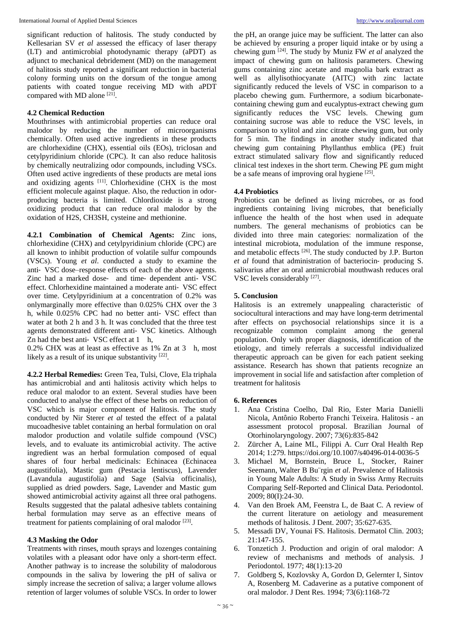significant reduction of halitosis. The study conducted by Kellesarian SV *et al* assessed the efficacy of laser therapy (LT) and antimicrobial photodynamic therapy (aPDT) as adjunct to mechanical debridement (MD) on the management of halitosis study reported a significant reduction in bacterial colony forming units on the dorsum of the tongue among patients with coated tongue receiving MD with aPDT compared with MD alone [21].

## **4.2 Chemical Reduction**

Mouthrinses with antimicrobial properties can reduce oral malodor by reducing the number of microorganisms chemically. Often used active ingredients in these products are chlorhexidine (CHX), essential oils (EOs), triclosan and cetylpyridinium chloride (CPC). It can also reduce halitosis by chemically neutralizing odor compounds, including VSCs. Often used active ingredients of these products are metal ions and oxidizing agents [11]. Chlorhexidine (CHX is the most efficient molecule against plaque. Also, the reduction in odorproducing bacteria is limited. Chlordioxide is a strong oxidizing product that can reduce oral malodor by the oxidation of H2S, CH3SH, cysteine and methionine.

**4.2.1 Combination of Chemical Agents:** Zinc ions, chlorhexidine (CHX) and cetylpyridinium chloride (CPC) are all known to inhibit production of volatile sulfur compounds (VSCs). Young *et al*. conducted a study to examine the anti‐ VSC dose–response effects of each of the above agents. Zinc had a marked dose- and time-dependent anti-VSC effect. Chlorhexidine maintained a moderate anti‐ VSC effect over time. Cetylpyridinium at a concentration of 0.2% was onlymarginally more effective than 0.025% CHX over the 3 h, while 0.025% CPC had no better anti‐ VSC effect than water at both 2 h and 3 h. It was concluded that the three test agents demonstrated different anti‐ VSC kinetics. Although Zn had the best anti- VSC effect at 1 h,

0.2% CHX was at least as effective as 1% Zn at 3 h, most likely as a result of its unique substantivity [22].

**4.2.2 Herbal Remedies:** Green Tea, Tulsi, Clove, Ela triphala has antimicrobial and anti halitosis activity which helps to reduce oral malodor to an extent. Several studies have been conducted to analyse the effect of these herbs on reduction of VSC which is major component of Halitosis. The study conducted by Nir Sterer *et al* tested the effect of a palatal mucoadhesive tablet containing an herbal formulation on oral malodor production and volatile sulfide compound (VSC) levels, and to evaluate its antimicrobial activity. The active ingredient was an herbal formulation composed of equal shares of four herbal medicinals: Echinacea (Echinacea augustifolia), Mastic gum (Pestacia lentiscus), Lavender (Lavandula augustifolia) and Sage (Salvia officinalis), supplied as dried powders. Sage, Lavender and Mastic gum showed antimicrobial activity against all three oral pathogens. Results suggested that the palatal adhesive tablets containing herbal formulation may serve as an effective means of treatment for patients complaining of oral malodor [23].

## **4.3 Masking the Odor**

Treatments with rinses, mouth sprays and lozenges containing volatiles with a pleasant odor have only a short-term effect. Another pathway is to increase the solubility of malodorous compounds in the saliva by lowering the pH of saliva or simply increase the secretion of saliva; a larger volume allows retention of larger volumes of soluble VSCs. In order to lower

the pH, an orange juice may be sufficient. The latter can also be achieved by ensuring a proper liquid intake or by using a chewing gum [24] . The study by Muniz FW *et al* analyzed the impact of chewing gum on halitosis parameters. Chewing gums containing zinc acetate and magnolia bark extract as well as allylisothiocyanate (AITC) with zinc lactate significantly reduced the levels of VSC in comparison to a placebo chewing gum. Furthermore, a sodium bicarbonatecontaining chewing gum and eucalyptus-extract chewing gum significantly reduces the VSC levels. Chewing gum containing sucrose was able to reduce the VSC levels, in comparison to xylitol and zinc citrate chewing gum, but only for 5 min. The findings in another study indicated that chewing gum containing Phyllanthus emblica (PE) fruit extract stimulated salivary flow and significantly reduced clinical test indexes in the short term. Chewing PE gum might be a safe means of improving oral hygiene<sup>[25]</sup>.

## **4.4 Probiotics**

Probiotics can be defined as living microbes, or as food ingredients containing living microbes, that beneficially influence the health of the host when used in adequate numbers. The general mechanisms of probiotics can be divided into three main categories: normalization of the intestinal microbiota, modulation of the immune response, and metabolic effects <sup>[26]</sup>. The study conducted by J.P. Burton *et al* found that administration of bacteriocin‐ producing S. salivarius after an oral antimicrobial mouthwash reduces oral VSC levels considerably [27].

## **5. Conclusion**

Halitosis is an extremely unappealing characteristic of sociocultural interactions and may have long-term detrimental after effects on psychosocial relationships since it is a recognizable common complaint among the general population. Only with proper diagnosis, identification of the etiology, and timely referrals a successful individualized therapeutic approach can be given for each patient seeking assistance. Research has shown that patients recognize an improvement in social life and satisfaction after completion of treatment for halitosis

## **6. References**

- 1. Ana Cristina Coelho, Dal Rio, Ester Maria Danielli Nicola, Antônio Roberto Franchi Teixeira. Halitosis - an assessment protocol proposal. Brazilian Journal of Otorhinolaryngology. 2007; 73(6):835-842
- 2. Zürcher A, Laine ML, Filippi A. Curr Oral Health Rep 2014; 1:279. https://doi.org/10.1007/s40496-014-0036-5
- 3. Michael M, Bornstein, Bruce L, Stocker, Rainer Seemann, Walter B Bu¨rgin *et al*. Prevalence of Halitosis in Young Male Adults: A Study in Swiss Army Recruits Comparing Self-Reported and Clinical Data. Periodontol. 2009; 80(I):24-30.
- 4. Van den Broek AM, Feenstra L, de Baat C. A review of the current literature on aetiology and measurement methods of halitosis. J Dent. 2007; 35:627-635.
- 5. Messadi DV, Younai FS. Halitosis. Dermatol Clin. 2003; 21:147-155.
- 6. Tonzetich J. Production and origin of oral malodor: A review of mechanisms and methods of analysis. J Periodontol. 1977; 48(1):13-20
- 7. Goldberg S, Kozlovsky A, Gordon D, Gelernter I, Sintov A, Rosenberg M. Cadaverine as a putative component of oral malodor. J Dent Res. 1994; 73(6):1168-72